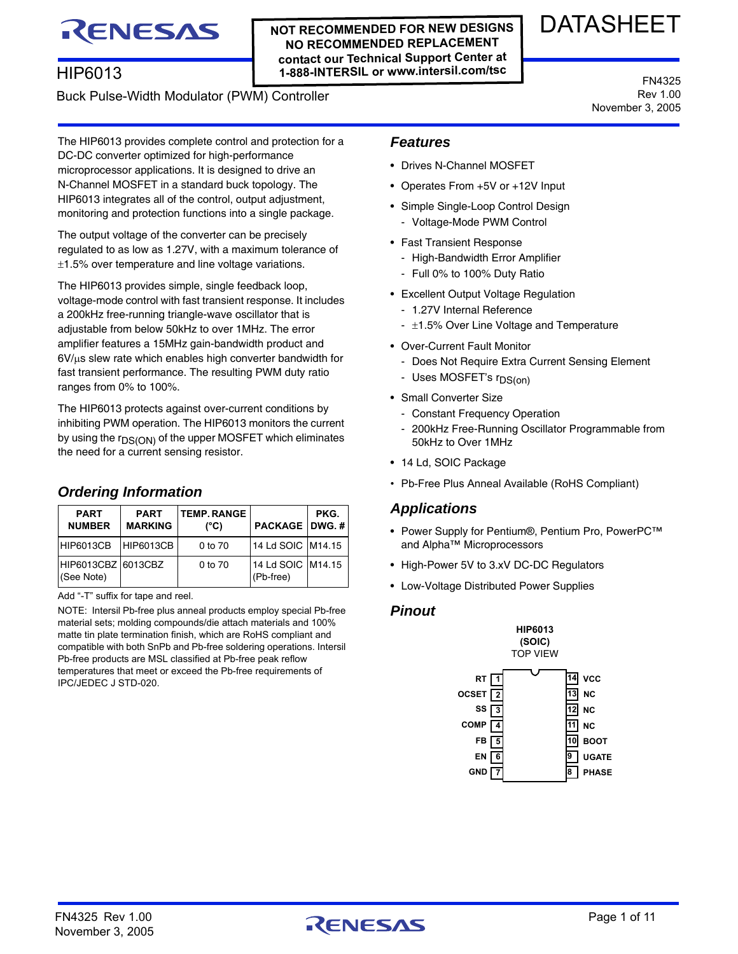# **NOT RECOMMENDED FOR NEW DESIGNS**

**NO RECOMMENDED REPLACEMENT contact our Technical Support Center at 1-888-INTERSIL or www.intersil.com/tsc**

# DATASHEET

Buck Pulse-Width Modulator (PWM) Controller

RENESAS

HIP6013

FN4325 Rev 1.00 November 3, 2005

The HIP6013 provides complete control and protection for a DC-DC converter optimized for high-performance microprocessor applications. It is designed to drive an N-Channel MOSFET in a standard buck topology. The HIP6013 integrates all of the control, output adjustment, monitoring and protection functions into a single package.

The output voltage of the converter can be precisely regulated to as low as 1.27V, with a maximum tolerance of  $\pm$ 1.5% over temperature and line voltage variations.

The HIP6013 provides simple, single feedback loop, voltage-mode control with fast transient response. It includes a 200kHz free-running triangle-wave oscillator that is adjustable from below 50kHz to over 1MHz. The error amplifier features a 15MHz gain-bandwidth product and  $6V/\mu s$  slew rate which enables high converter bandwidth for fast transient performance. The resulting PWM duty ratio ranges from 0% to 100%.

The HIP6013 protects against over-current conditions by inhibiting PWM operation. The HIP6013 monitors the current by using the  $r_{DS(ON)}$  of the upper MOSFET which eliminates the need for a current sensing resistor.

#### **PART NUMBER PART MARKING TEMP. RANGE (°C) PACKAGE PKG. DWG. #** HIP6013CB HIP6013CB 0 to 70 14 Ld SOIC M14.15 HIP6013CBZ (See Note) 6013CBZ 0 to 70 14 Ld SOIC (Pb-free) M14.15

Add "-T" suffix for tape and reel.

*Ordering Information*

NOTE: Intersil Pb-free plus anneal products employ special Pb-free material sets; molding compounds/die attach materials and 100% matte tin plate termination finish, which are RoHS compliant and compatible with both SnPb and Pb-free soldering operations. Intersil Pb-free products are MSL classified at Pb-free peak reflow temperatures that meet or exceed the Pb-free requirements of IPC/JEDEC J STD-020.

## *Features*

- Drives N-Channel MOSFET
- Operates From +5V or +12V Input
- Simple Single-Loop Control Design
	- Voltage-Mode PWM Control
- Fast Transient Response
	- High-Bandwidth Error Amplifier
	- Full 0% to 100% Duty Ratio
- Excellent Output Voltage Regulation
	- 1.27V Internal Reference
	- $\pm$ 1.5% Over Line Voltage and Temperature
- Over-Current Fault Monitor
	- Does Not Require Extra Current Sensing Element
	- Uses MOSFET's r<sub>DS(on)</sub>
- Small Converter Size
	- Constant Frequency Operation
	- 200kHz Free-Running Oscillator Programmable from 50kHz to Over 1MHz
- 14 Ld, SOIC Package
- Pb-Free Plus Anneal Available (RoHS Compliant)

# *Applications*

- Power Supply for Pentium®, Pentium Pro, PowerPC™ and Alpha™ Microprocessors
- High-Power 5V to 3.xV DC-DC Regulators
- Low-Voltage Distributed Power Supplies

# *Pinout*



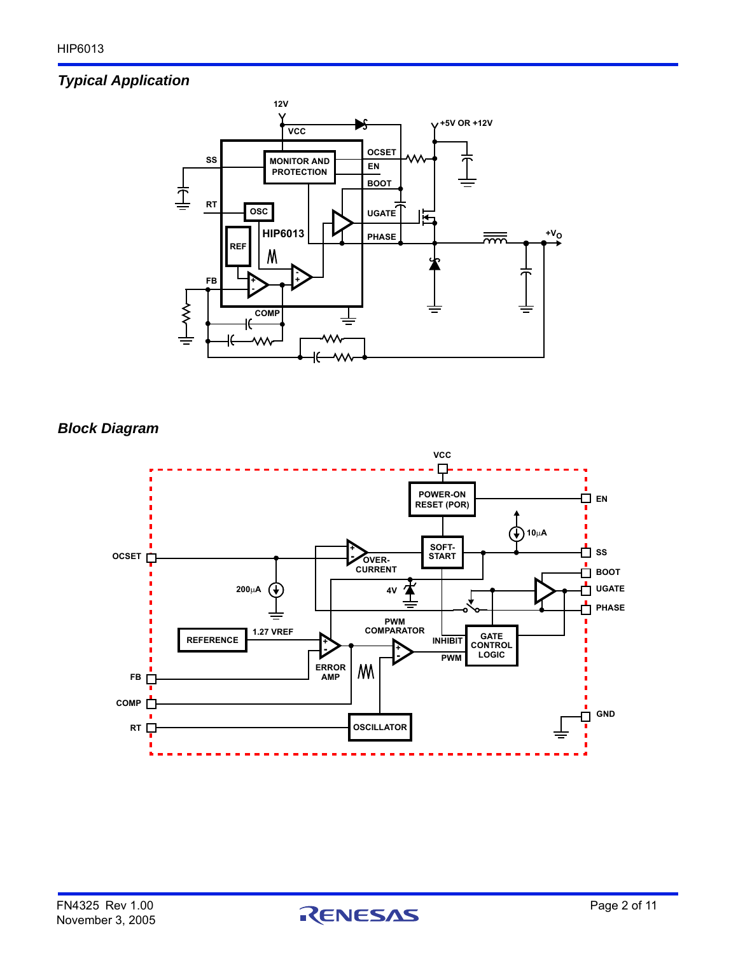# *Typical Application*



*Block Diagram*

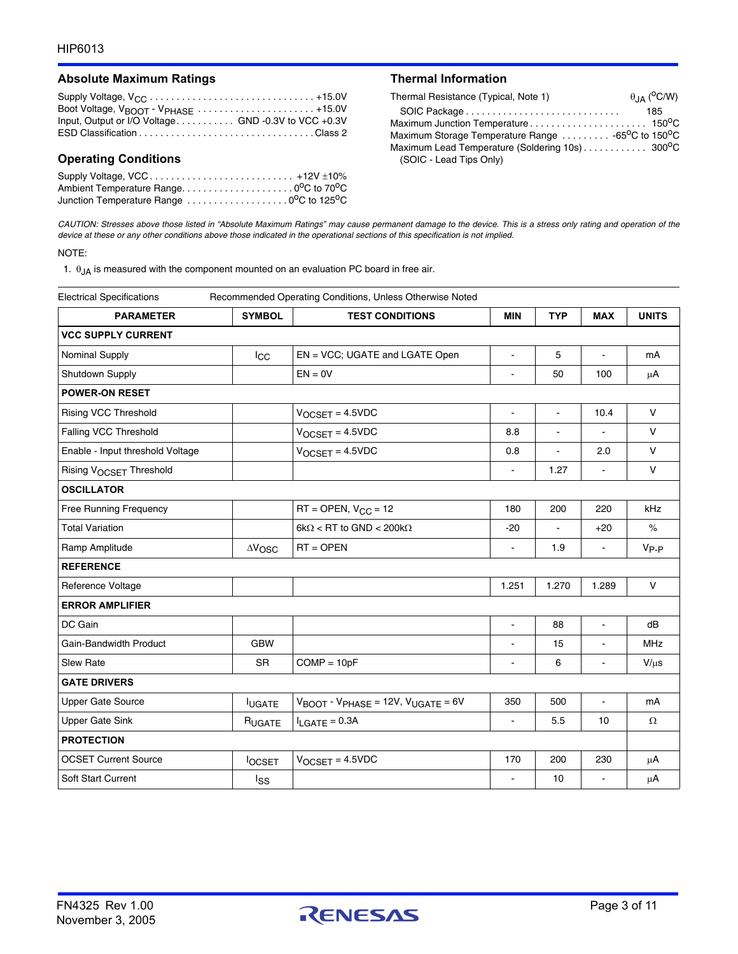#### Absolute Maximum Ratings **Thermal Information**

| Input, Output or I/O Voltage GND -0.3V to VCC +0.3V |  |
|-----------------------------------------------------|--|
|                                                     |  |

### **Operating Conditions**

| Supply Voltage, VCC +12V ±10%           |  |
|-----------------------------------------|--|
|                                         |  |
| Junction Temperature Range 0°C to 125°C |  |

| Thermal Resistance (Typical, Note 1)                                        | $\theta$ <sub>JA</sub> ( <sup>O</sup> C/W) |
|-----------------------------------------------------------------------------|--------------------------------------------|
|                                                                             | 185                                        |
|                                                                             |                                            |
| Maximum Storage Temperature Range  -65 <sup>o</sup> C to 150 <sup>o</sup> C |                                            |
| Maximum Lead Temperature (Soldering 10s) 300°C                              |                                            |
| (SOIC - Lead Tips Only)                                                     |                                            |

*CAUTION: Stresses above those listed in "Absolute Maximum Ratings" may cause permanent damage to the device. This is a stress only rating and operation of the device at these or any other conditions above those indicated in the operational sections of this specification is not implied.*

#### NOTE:

1.  $\theta_{JA}$  is measured with the component mounted on an evaluation PC board in free air.

| <b>Electrical Specifications</b><br>Recommended Operating Conditions, Unless Otherwise Noted |                       |                                                                       |                      |                |                          |              |  |
|----------------------------------------------------------------------------------------------|-----------------------|-----------------------------------------------------------------------|----------------------|----------------|--------------------------|--------------|--|
| <b>PARAMETER</b>                                                                             | <b>SYMBOL</b>         | <b>TEST CONDITIONS</b>                                                | <b>MIN</b>           | <b>TYP</b>     | <b>MAX</b>               | <b>UNITS</b> |  |
| <b>VCC SUPPLY CURRENT</b>                                                                    |                       |                                                                       |                      |                |                          |              |  |
| Nominal Supply                                                                               | $_{\text{LCC}}$       | EN = VCC; UGATE and LGATE Open                                        | L.                   | 5              | $\overline{\phantom{a}}$ | mA           |  |
| Shutdown Supply                                                                              |                       | $EN = 0V$                                                             | $\blacksquare$       | 50             | 100                      | μA           |  |
| <b>POWER-ON RESET</b>                                                                        |                       |                                                                       |                      |                |                          |              |  |
| Rising VCC Threshold                                                                         |                       | $V_{OCSET} = 4.5 VDC$                                                 | $\blacksquare$       | $\blacksquare$ | 10.4                     | V            |  |
| Falling VCC Threshold                                                                        |                       | $V_{OCSET} = 4.5 VDC$                                                 | 8.8                  | $\frac{1}{2}$  |                          | $\vee$       |  |
| Enable - Input threshold Voltage                                                             |                       | $V_{OCSET} = 4.5 VDC$                                                 | 0.8                  | L.             | 2.0                      | V            |  |
| Rising VOCSET Threshold                                                                      |                       |                                                                       | $\blacksquare$       | 1.27           |                          | $\vee$       |  |
| <b>OSCILLATOR</b>                                                                            |                       |                                                                       |                      |                |                          |              |  |
| <b>Free Running Frequency</b>                                                                |                       | $RT =$ OPEN, $V_{CC} = 12$                                            | 180                  | 200            | 220                      | kHz          |  |
| <b>Total Variation</b>                                                                       |                       | $6k\Omega$ < RT to GND < 200 $k\Omega$                                | $-20$                |                | $+20$                    | $\%$         |  |
| Ramp Amplitude                                                                               | $\Delta V_{\rm{OSC}}$ | $RT = OPER$                                                           | $\blacksquare$       | 1.9            | $\blacksquare$           | $V_{P-P}$    |  |
| <b>REFERENCE</b>                                                                             |                       |                                                                       |                      |                |                          |              |  |
| Reference Voltage                                                                            |                       |                                                                       | 1.251                | 1.270          | 1.289                    | V            |  |
| <b>ERROR AMPLIFIER</b>                                                                       |                       |                                                                       |                      |                |                          |              |  |
| DC Gain                                                                                      |                       |                                                                       | $\blacksquare$       | 88             | $\overline{\phantom{a}}$ | dB           |  |
| Gain-Bandwidth Product                                                                       | <b>GBW</b>            |                                                                       |                      | 15             |                          | <b>MHz</b>   |  |
| <b>Slew Rate</b>                                                                             | <b>SR</b>             | $COMP = 10pF$                                                         |                      | 6              | $\mathbf{r}$             | $V/\mu s$    |  |
| <b>GATE DRIVERS</b>                                                                          |                       |                                                                       |                      |                |                          |              |  |
| <b>Upper Gate Source</b>                                                                     | <b>IUGATE</b>         | $V_{\text{BOOT}}$ - $V_{\text{PHASE}}$ = 12V, $V_{\text{UGATE}}$ = 6V | 350                  | 500            | $\tilde{\phantom{a}}$    | mA           |  |
| <b>Upper Gate Sink</b>                                                                       | RUGATE                | $I_{LAGATE} = 0.3A$                                                   | $\ddot{\phantom{a}}$ | 5.5            | 10                       | $\Omega$     |  |
| <b>PROTECTION</b>                                                                            |                       |                                                                       |                      |                |                          |              |  |
| <b>OCSET Current Source</b>                                                                  | <b>locsET</b>         | $V_{OCSET} = 4.5 VDC$                                                 | 170                  | 200            | 230                      | μA           |  |
| Soft Start Current                                                                           | Iss                   |                                                                       | ÷                    | 10             |                          | $\mu$ A      |  |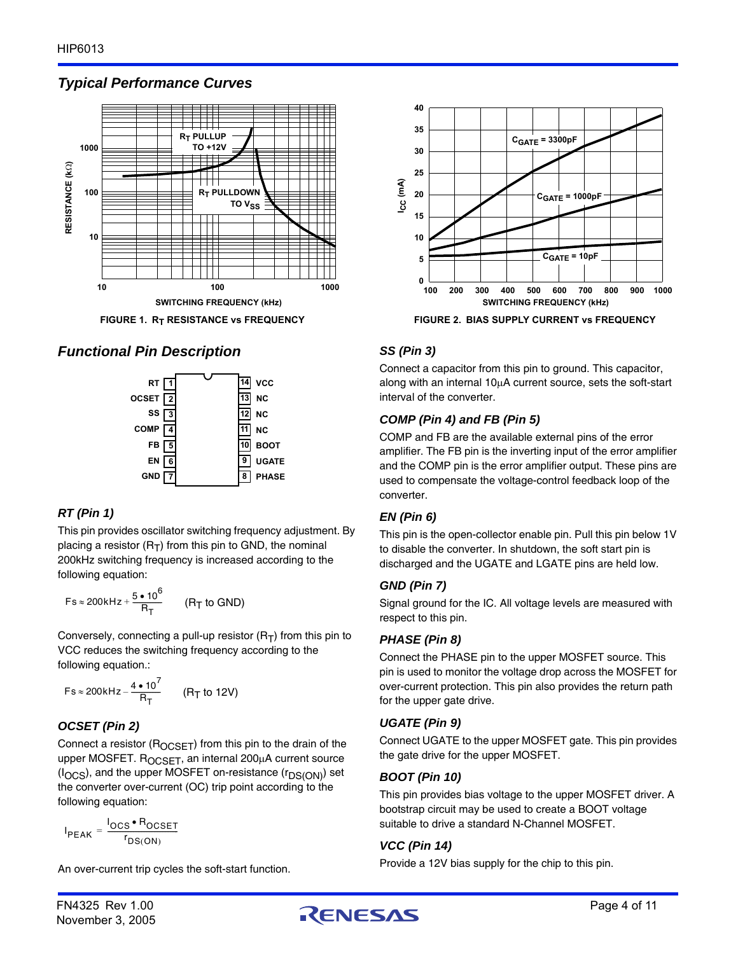

# *Typical Performance Curves*



# *Functional Pin Description*



# *RT (Pin 1)*

This pin provides oscillator switching frequency adjustment. By placing a resistor  $(R_T)$  from this pin to GND, the nominal 200kHz switching frequency is increased according to the following equation:

$$
Fs \approx 200 \, \text{kHz} + \frac{5 \bullet 10^6}{R_T} \qquad (R_T \text{ to GND})
$$

Conversely, connecting a pull-up resistor  $(R_T)$  from this pin to VCC reduces the switching frequency according to the following equation.:

$$
Fs \approx 200kHz - \frac{4 \cdot 10^7}{R_T}
$$
 (R<sub>T</sub> to 12V)

# *OCSET (Pin 2)*

Connect a resistor ( $R_{OCSFT}$ ) from this pin to the drain of the upper MOSFET. ROCSET, an internal 200µA current source  $(I_{OCS})$ , and the upper MOSFET on-resistance  $(r_{DS(ON)})$  set the converter over-current (OC) trip point according to the following equation:

$$
I_{PEAK} = \frac{I_{OCS} \cdot R_{OCSET}}{r_{DS(ON)}}
$$

An over-current trip cycles the soft-start function.



# *SS (Pin 3)*

Connect a capacitor from this pin to ground. This capacitor, along with an internal  $10\mu$ A current source, sets the soft-start interval of the converter.

# *COMP (Pin 4) and FB (Pin 5)*

COMP and FB are the available external pins of the error amplifier. The FB pin is the inverting input of the error amplifier and the COMP pin is the error amplifier output. These pins are used to compensate the voltage-control feedback loop of the converter.

# *EN (Pin 6)*

This pin is the open-collector enable pin. Pull this pin below 1V to disable the converter. In shutdown, the soft start pin is discharged and the UGATE and LGATE pins are held low.

# *GND (Pin 7)*

Signal ground for the IC. All voltage levels are measured with respect to this pin.

# *PHASE (Pin 8)*

Connect the PHASE pin to the upper MOSFET source. This pin is used to monitor the voltage drop across the MOSFET for over-current protection. This pin also provides the return path for the upper gate drive.

# *UGATE (Pin 9)*

Connect UGATE to the upper MOSFET gate. This pin provides the gate drive for the upper MOSFET.

# *BOOT (Pin 10)*

This pin provides bias voltage to the upper MOSFET driver. A bootstrap circuit may be used to create a BOOT voltage suitable to drive a standard N-Channel MOSFET.

# *VCC (Pin 14)*

Provide a 12V bias supply for the chip to this pin.

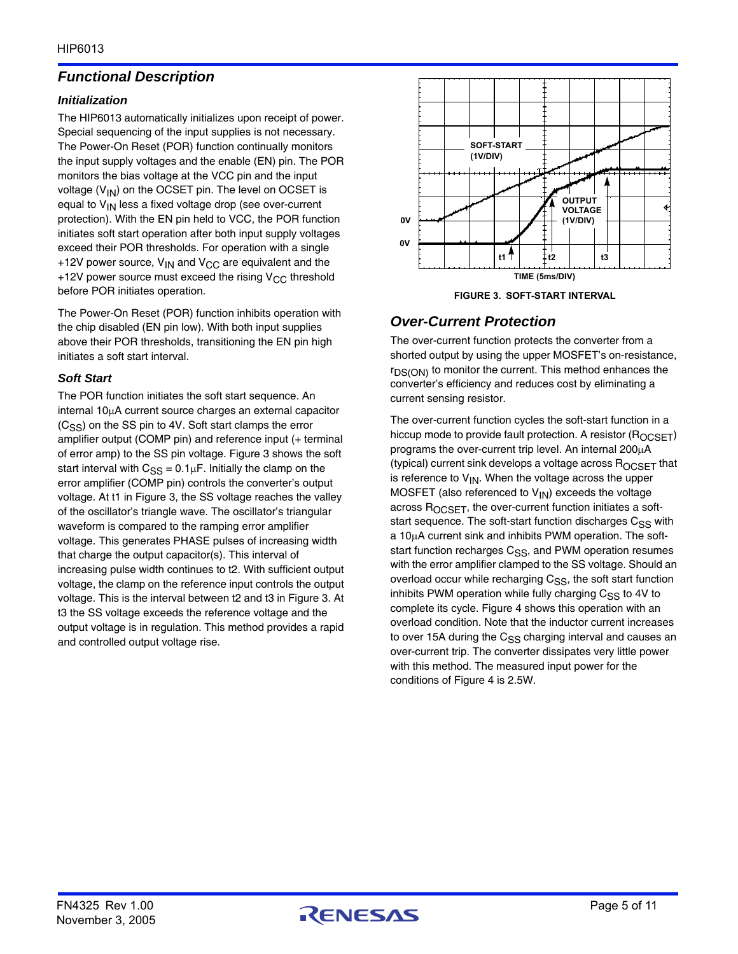# *Functional Description*

### *Initialization*

The HIP6013 automatically initializes upon receipt of power. Special sequencing of the input supplies is not necessary. The Power-On Reset (POR) function continually monitors the input supply voltages and the enable (EN) pin. The POR monitors the bias voltage at the VCC pin and the input voltage  $(V_{1N})$  on the OCSET pin. The level on OCSET is equal to  $V_{IN}$  less a fixed voltage drop (see over-current protection). With the EN pin held to VCC, the POR function initiates soft start operation after both input supply voltages exceed their POR thresholds. For operation with a single +12V power source,  $V_{IN}$  and  $V_{CC}$  are equivalent and the +12V power source must exceed the rising  $V_{CC}$  threshold before POR initiates operation.

The Power-On Reset (POR) function inhibits operation with the chip disabled (EN pin low). With both input supplies above their POR thresholds, transitioning the EN pin high initiates a soft start interval.

### *Soft Start*

The POR function initiates the soft start sequence. An internal  $10\mu$ A current source charges an external capacitor  $(C_{SS})$  on the SS pin to 4V. Soft start clamps the error amplifier output (COMP pin) and reference input (+ terminal of error amp) to the SS pin voltage. Figure 3 shows the soft start interval with  $C_{SS} = 0.1 \mu F$ . Initially the clamp on the error amplifier (COMP pin) controls the converter's output voltage. At t1 in Figure 3, the SS voltage reaches the valley of the oscillator's triangle wave. The oscillator's triangular waveform is compared to the ramping error amplifier voltage. This generates PHASE pulses of increasing width that charge the output capacitor(s). This interval of increasing pulse width continues to t2. With sufficient output voltage, the clamp on the reference input controls the output voltage. This is the interval between t2 and t3 in Figure 3. At t3 the SS voltage exceeds the reference voltage and the output voltage is in regulation. This method provides a rapid and controlled output voltage rise.



**FIGURE 3. SOFT-START INTERVAL**

# *Over-Current Protection*

The over-current function protects the converter from a shorted output by using the upper MOSFET's on-resistance, r<sub>DS(ON)</sub> to monitor the current. This method enhances the converter's efficiency and reduces cost by eliminating a current sensing resistor.

The over-current function cycles the soft-start function in a hiccup mode to provide fault protection. A resistor  $(R_{OCSFT})$ programs the over-current trip level. An internal  $200\mu A$ (typical) current sink develops a voltage across  $R_{OCSFT}$  that is reference to  $V_{IN}$ . When the voltage across the upper MOSFET (also referenced to  $V_{IN}$ ) exceeds the voltage across R<sub>OCSET</sub>, the over-current function initiates a softstart sequence. The soft-start function discharges  $C_{SS}$  with a 10µA current sink and inhibits PWM operation. The softstart function recharges C<sub>SS</sub>, and PWM operation resumes with the error amplifier clamped to the SS voltage. Should an overload occur while recharging  $C_{SS}$ , the soft start function inhibits PWM operation while fully charging  $C_{SS}$  to 4V to complete its cycle. Figure 4 shows this operation with an overload condition. Note that the inductor current increases to over 15A during the  $C_{SS}$  charging interval and causes an over-current trip. The converter dissipates very little power with this method. The measured input power for the conditions of Figure 4 is 2.5W.

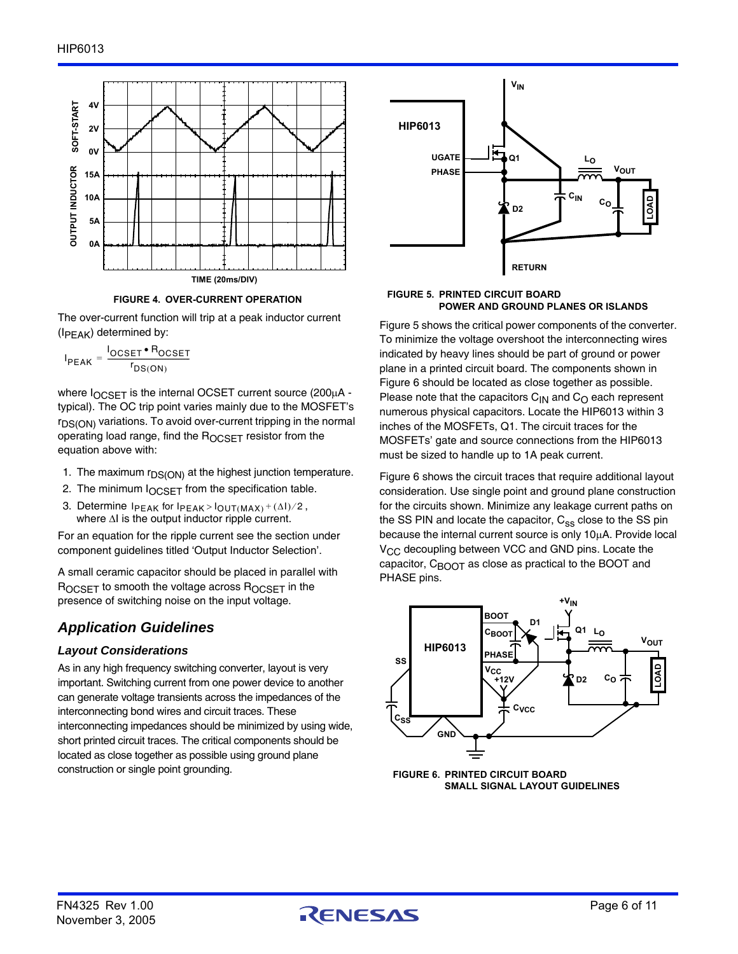



The over-current function will trip at a peak inductor current  $(I_{\text{PFAK}})$  determined by:

$$
I_{PEAK} = \frac{I_{OCSET} \cdot R_{OCSET}}{r_{DS(ON)}}
$$

where  $I_{OCSET}$  is the internal OCSET current source (200 $\mu$ A typical). The OC trip point varies mainly due to the MOSFET's  $r_{DS(ON)}$  variations. To avoid over-current tripping in the normal operating load range, find the ROCSET resistor from the equation above with:

- 1. The maximum  $r_{DS(ON)}$  at the highest junction temperature.
- 2. The minimum  $I_{OCSET}$  from the specification table.
- 3. Determine  $I_{PEAK}$  for  $I_{PEAK} > I_{OUT(MAX)} + (\Delta I)/2$ , where  $\Delta I$  is the output inductor ripple current.

For an equation for the ripple current see the section under component guidelines titled 'Output Inductor Selection'.

A small ceramic capacitor should be placed in parallel with  $R_{OCSET}$  to smooth the voltage across  $R_{OCSET}$  in the presence of switching noise on the input voltage.

# *Application Guidelines*

# *Layout Considerations*

As in any high frequency switching converter, layout is very important. Switching current from one power device to another can generate voltage transients across the impedances of the interconnecting bond wires and circuit traces. These interconnecting impedances should be minimized by using wide, short printed circuit traces. The critical components should be located as close together as possible using ground plane construction or single point grounding.



#### **FIGURE 5. PRINTED CIRCUIT BOARD POWER AND GROUND PLANES OR ISLANDS**

Figure 5 shows the critical power components of the converter. To minimize the voltage overshoot the interconnecting wires indicated by heavy lines should be part of ground or power plane in a printed circuit board. The components shown in Figure 6 should be located as close together as possible. Please note that the capacitors  $C_{1N}$  and  $C_{O}$  each represent numerous physical capacitors. Locate the HIP6013 within 3 inches of the MOSFETs, Q1. The circuit traces for the MOSFETs' gate and source connections from the HIP6013 must be sized to handle up to 1A peak current.

Figure 6 shows the circuit traces that require additional layout consideration. Use single point and ground plane construction for the circuits shown. Minimize any leakage current paths on the SS PIN and locate the capacitor,  $C_{SS}$  close to the SS pin because the internal current source is only  $10\mu$ A. Provide local V<sub>CC</sub> decoupling between VCC and GND pins. Locate the capacitor,  $C_{\text{B}\text{O}\text{O}\text{T}}$  as close as practical to the BOOT and PHASE pins.



**FIGURE 6. PRINTED CIRCUIT BOARD SMALL SIGNAL LAYOUT GUIDELINES**

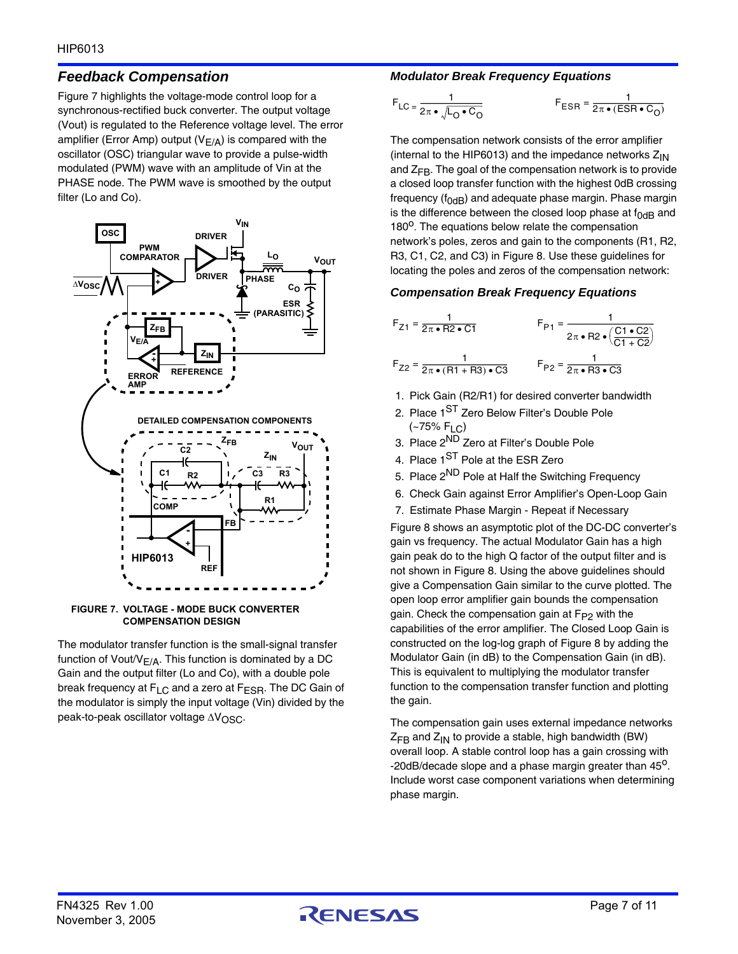# *Feedback Compensation*

Figure 7 highlights the voltage-mode control loop for a synchronous-rectified buck converter. The output voltage (Vout) is regulated to the Reference voltage level. The error amplifier (Error Amp) output ( $V_{E/A}$ ) is compared with the oscillator (OSC) triangular wave to provide a pulse-width modulated (PWM) wave with an amplitude of Vin at the PHASE node. The PWM wave is smoothed by the output filter (Lo and Co).



**FIGURE 7. VOLTAGE - MODE BUCK CONVERTER COMPENSATION DESIGN**

The modulator transfer function is the small-signal transfer function of Vout/ $V_{E/A}$ . This function is dominated by a DC Gain and the output filter (Lo and Co), with a double pole break frequency at F<sub>LC</sub> and a zero at F<sub>ESR</sub>. The DC Gain of the modulator is simply the input voltage (Vin) divided by the peak-to-peak oscillator voltage  $\Delta V_{\rm OSC}$ .

# *Modulator Break Frequency Equations*

$$
F_{\text{LC}} = \frac{1}{2\pi \cdot \sqrt{L_0 \cdot C_0}}
$$
 
$$
F_{\text{ESR}} = \frac{1}{2\pi \cdot (\text{ES})}
$$

$$
F_{ESR} = \frac{1}{2\pi \cdot (ESR \cdot C_O)}
$$

The compensation network consists of the error amplifier (internal to the HIP6013) and the impedance networks  $Z_{IN}$ and  $Z_{FB}$ . The goal of the compensation network is to provide a closed loop transfer function with the highest 0dB crossing frequency ( $f_{0dB}$ ) and adequate phase margin. Phase margin is the difference between the closed loop phase at  $f_{OdB}$  and  $180<sup>o</sup>$ . The equations below relate the compensation network's poles, zeros and gain to the components (R1, R2, R3, C1, C2, and C3) in Figure 8. Use these guidelines for locating the poles and zeros of the compensation network:

### *Compensation Break Frequency Equations*

$$
F_{Z1} = \frac{1}{2\pi \cdot R2 \cdot C1}
$$
  
\n
$$
F_{P1} = \frac{1}{2\pi \cdot R2 \cdot (C1 \cdot C2)}
$$
  
\n
$$
F_{Z2} = \frac{1}{2\pi \cdot (R1 + R3) \cdot C3}
$$
  
\n
$$
F_{P2} = \frac{1}{2\pi \cdot R3 \cdot C3}
$$

- 1. Pick Gain (R2/R1) for desired converter bandwidth
- 2. Place 1<sup>ST</sup> Zero Below Filter's Double Pole  $(-75\% \text{ F}1 \text{ C})$
- 3. Place 2ND Zero at Filter's Double Pole
- 4. Place 1<sup>ST</sup> Pole at the ESR Zero
- 5. Place 2<sup>ND</sup> Pole at Half the Switching Frequency
- 6. Check Gain against Error Amplifier's Open-Loop Gain
- 7. Estimate Phase Margin Repeat if Necessary

Figure 8 shows an asymptotic plot of the DC-DC converter's gain vs frequency. The actual Modulator Gain has a high gain peak do to the high Q factor of the output filter and is not shown in Figure 8. Using the above guidelines should give a Compensation Gain similar to the curve plotted. The open loop error amplifier gain bounds the compensation gain. Check the compensation gain at  $F_{P2}$  with the capabilities of the error amplifier. The Closed Loop Gain is constructed on the log-log graph of Figure 8 by adding the Modulator Gain (in dB) to the Compensation Gain (in dB). This is equivalent to multiplying the modulator transfer function to the compensation transfer function and plotting the gain.

The compensation gain uses external impedance networks  $Z_{FB}$  and  $Z_{IN}$  to provide a stable, high bandwidth (BW) overall loop. A stable control loop has a gain crossing with -20dB/decade slope and a phase margin greater than  $45^{\circ}$ . Include worst case component variations when determining phase margin.

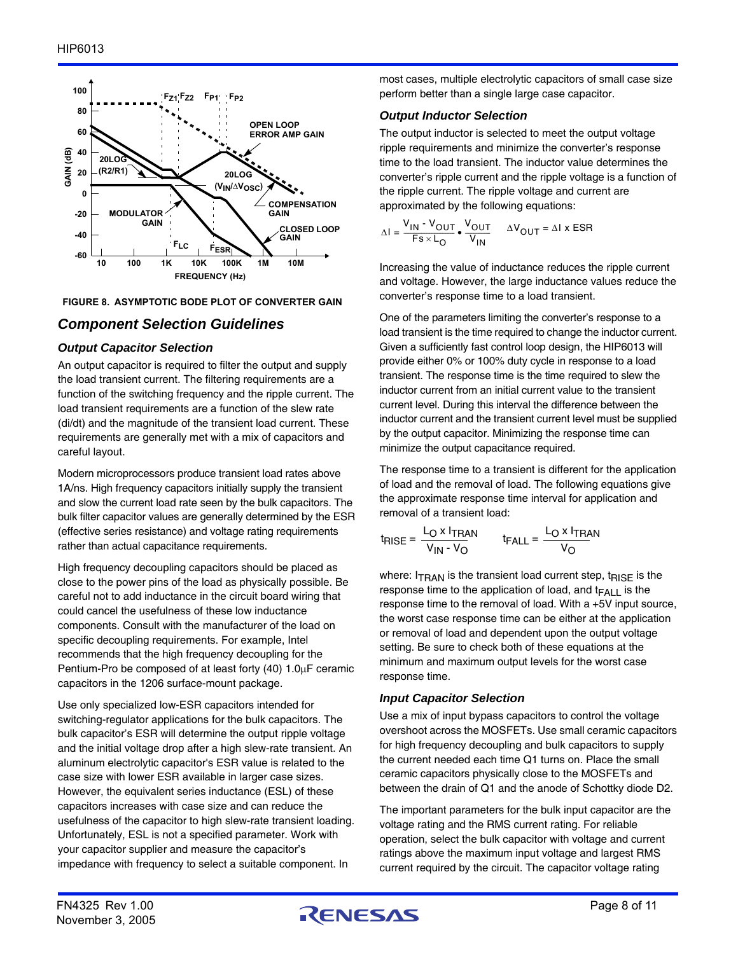

#### **FIGURE 8. ASYMPTOTIC BODE PLOT OF CONVERTER GAIN**

# *Component Selection Guidelines*

#### *Output Capacitor Selection*

An output capacitor is required to filter the output and supply the load transient current. The filtering requirements are a function of the switching frequency and the ripple current. The load transient requirements are a function of the slew rate (di/dt) and the magnitude of the transient load current. These requirements are generally met with a mix of capacitors and careful layout.

Modern microprocessors produce transient load rates above 1A/ns. High frequency capacitors initially supply the transient and slow the current load rate seen by the bulk capacitors. The bulk filter capacitor values are generally determined by the ESR (effective series resistance) and voltage rating requirements rather than actual capacitance requirements.

High frequency decoupling capacitors should be placed as close to the power pins of the load as physically possible. Be careful not to add inductance in the circuit board wiring that could cancel the usefulness of these low inductance components. Consult with the manufacturer of the load on specific decoupling requirements. For example, Intel recommends that the high frequency decoupling for the Pentium-Pro be composed of at least forty (40) 1.0uF ceramic capacitors in the 1206 surface-mount package.

Use only specialized low-ESR capacitors intended for switching-regulator applications for the bulk capacitors. The bulk capacitor's ESR will determine the output ripple voltage and the initial voltage drop after a high slew-rate transient. An aluminum electrolytic capacitor's ESR value is related to the case size with lower ESR available in larger case sizes. However, the equivalent series inductance (ESL) of these capacitors increases with case size and can reduce the usefulness of the capacitor to high slew-rate transient loading. Unfortunately, ESL is not a specified parameter. Work with your capacitor supplier and measure the capacitor's impedance with frequency to select a suitable component. In

most cases, multiple electrolytic capacitors of small case size perform better than a single large case capacitor.

### *Output Inductor Selection*

The output inductor is selected to meet the output voltage ripple requirements and minimize the converter's response time to the load transient. The inductor value determines the converter's ripple current and the ripple voltage is a function of the ripple current. The ripple voltage and current are approximated by the following equations:

$$
\Delta I = \frac{V_{IN} - V_{OUT}}{Fs \times L_{O}} \cdot \frac{V_{OUT}}{V_{IN}} \qquad \Delta V_{OUT} = \Delta I \times ESR
$$

Increasing the value of inductance reduces the ripple current and voltage. However, the large inductance values reduce the converter's response time to a load transient.

One of the parameters limiting the converter's response to a load transient is the time required to change the inductor current. Given a sufficiently fast control loop design, the HIP6013 will provide either 0% or 100% duty cycle in response to a load transient. The response time is the time required to slew the inductor current from an initial current value to the transient current level. During this interval the difference between the inductor current and the transient current level must be supplied by the output capacitor. Minimizing the response time can minimize the output capacitance required.

The response time to a transient is different for the application of load and the removal of load. The following equations give the approximate response time interval for application and removal of a transient load:

$$
t_{RISE} = \frac{L_O \times I_{TRAN}}{V_{IN} \cdot V_O} \qquad t_{FALL} = \frac{L_O \times I_{TRAN}}{V_O}
$$

where:  $I_{\text{TRAN}}$  is the transient load current step,  $t_{\text{RISE}}$  is the response time to the application of load, and  $t_{FAI}$  is the response time to the removal of load. With a +5V input source, the worst case response time can be either at the application or removal of load and dependent upon the output voltage setting. Be sure to check both of these equations at the minimum and maximum output levels for the worst case response time.

### *Input Capacitor Selection*

Use a mix of input bypass capacitors to control the voltage overshoot across the MOSFETs. Use small ceramic capacitors for high frequency decoupling and bulk capacitors to supply the current needed each time Q1 turns on. Place the small ceramic capacitors physically close to the MOSFETs and between the drain of Q1 and the anode of Schottky diode D2.

The important parameters for the bulk input capacitor are the voltage rating and the RMS current rating. For reliable operation, select the bulk capacitor with voltage and current ratings above the maximum input voltage and largest RMS current required by the circuit. The capacitor voltage rating

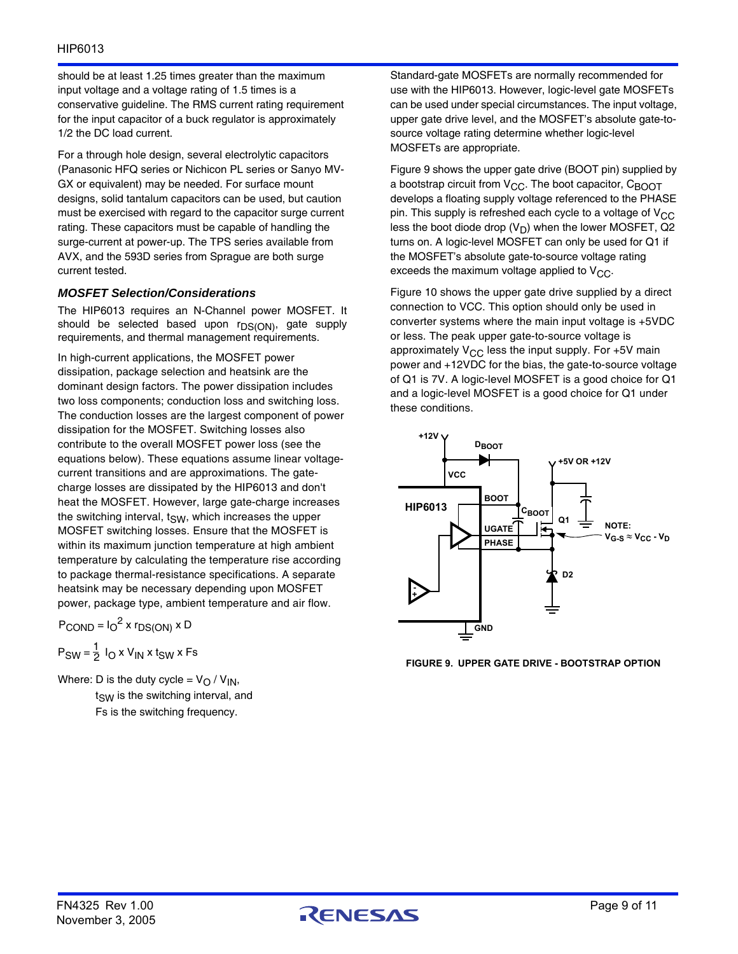### HIP6013

should be at least 1.25 times greater than the maximum input voltage and a voltage rating of 1.5 times is a conservative guideline. The RMS current rating requirement for the input capacitor of a buck regulator is approximately 1/2 the DC load current.

For a through hole design, several electrolytic capacitors (Panasonic HFQ series or Nichicon PL series or Sanyo MV-GX or equivalent) may be needed. For surface mount designs, solid tantalum capacitors can be used, but caution must be exercised with regard to the capacitor surge current rating. These capacitors must be capable of handling the surge-current at power-up. The TPS series available from AVX, and the 593D series from Sprague are both surge current tested.

#### *MOSFET Selection/Considerations*

The HIP6013 requires an N-Channel power MOSFET. It should be selected based upon r<sub>DS(ON)</sub>, gate supply requirements, and thermal management requirements.

In high-current applications, the MOSFET power dissipation, package selection and heatsink are the dominant design factors. The power dissipation includes two loss components; conduction loss and switching loss. The conduction losses are the largest component of power dissipation for the MOSFET. Switching losses also contribute to the overall MOSFET power loss (see the equations below). These equations assume linear voltagecurrent transitions and are approximations. The gatecharge losses are dissipated by the HIP6013 and don't heat the MOSFET. However, large gate-charge increases the switching interval,  $t_{SW}$ , which increases the upper MOSFET switching losses. Ensure that the MOSFET is within its maximum junction temperature at high ambient temperature by calculating the temperature rise according to package thermal-resistance specifications. A separate heatsink may be necessary depending upon MOSFET power, package type, ambient temperature and air flow.

$$
P_{\text{COND}} = I_0^2 \times r_{DS(ON)} \times D
$$

 $P_{SW} = \frac{1}{2} I_{O} x V_{IN} x t_{SW} x F s$ 

Where: D is the duty cycle =  $V_O$  /  $V_{IN}$ ,  $t<sub>SW</sub>$  is the switching interval, and Fs is the switching frequency.

Standard-gate MOSFETs are normally recommended for use with the HIP6013. However, logic-level gate MOSFETs can be used under special circumstances. The input voltage, upper gate drive level, and the MOSFET's absolute gate-tosource voltage rating determine whether logic-level MOSFETs are appropriate.

Figure 9 shows the upper gate drive (BOOT pin) supplied by a bootstrap circuit from  $V_{CC}$ . The boot capacitor,  $C_{BOOT}$ develops a floating supply voltage referenced to the PHASE pin. This supply is refreshed each cycle to a voltage of  $V_{CC}$ less the boot diode drop  $(V_D)$  when the lower MOSFET, Q2 turns on. A logic-level MOSFET can only be used for Q1 if the MOSFET's absolute gate-to-source voltage rating exceeds the maximum voltage applied to  $V_{CC}$ .

Figure 10 shows the upper gate drive supplied by a direct connection to VCC. This option should only be used in converter systems where the main input voltage is +5VDC or less. The peak upper gate-to-source voltage is approximately  $V_{CC}$  less the input supply. For +5V main power and +12VDC for the bias, the gate-to-source voltage of Q1 is 7V. A logic-level MOSFET is a good choice for Q1 and a logic-level MOSFET is a good choice for Q1 under these conditions.



**FIGURE 9. UPPER GATE DRIVE - BOOTSTRAP OPTION**

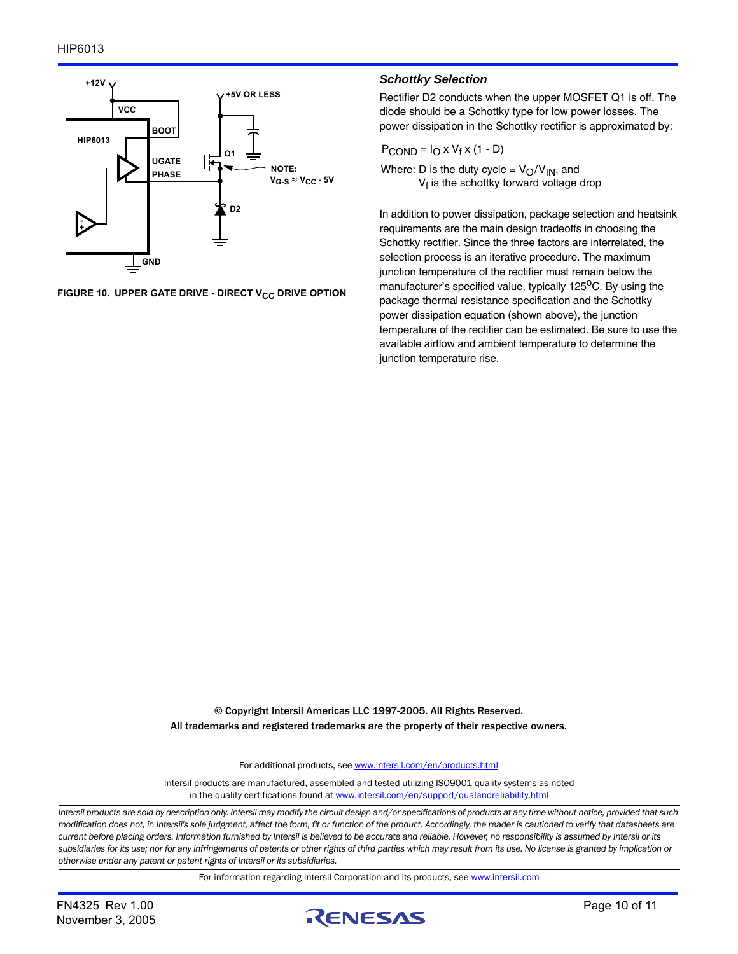

FIGURE 10. UPPER GATE DRIVE - DIRECT V<sub>CC</sub> DRIVE OPTION

#### *Schottky Selection*

Rectifier D2 conducts when the upper MOSFET Q1 is off. The diode should be a Schottky type for low power losses. The power dissipation in the Schottky rectifier is approximated by:

$$
P_{\text{COND}} = I_{\text{O}} \times V_{\text{f}} \times (1 - D)
$$

Where: D is the duty cycle =  $V_O/V_{IN}$ , and  $V_f$  is the schottky forward voltage drop

In addition to power dissipation, package selection and heatsink requirements are the main design tradeoffs in choosing the Schottky rectifier. Since the three factors are interrelated, the selection process is an iterative procedure. The maximum junction temperature of the rectifier must remain below the manufacturer's specified value, typically  $125^{\circ}$ C. By using the package thermal resistance specification and the Schottky power dissipation equation (shown above), the junction temperature of the rectifier can be estimated. Be sure to use the available airflow and ambient temperature to determine the junction temperature rise.

© Copyright Intersil Americas LLC 1997-2005. All Rights Reserved. All trademarks and registered trademarks are the property of their respective owners.

For additional products, see [www.intersil.com/en/products.html](http://www.intersil.com/en/products.html?utm_source=Intersil&utm_medium=datasheet&utm_campaign=disclaimer-ds-footer)

[Intersil products are manufactured, assembled and tested utilizing ISO9001 quality systems as noted](http://www.intersil.com/en/products.html?utm_source=Intersil&utm_medium=datasheet&utm_campaign=disclaimer-ds-footer) in the quality certifications found at [www.intersil.com/en/support/qualandreliability.html](http://www.intersil.com/en/support/qualandreliability.html?utm_source=Intersil&utm_medium=datasheet&utm_campaign=disclaimer-ds-footer)

*Intersil products are sold by description only. Intersil may modify the circuit design and/or specifications of products at any time without notice, provided that such modification does not, in Intersil's sole judgment, affect the form, fit or function of the product. Accordingly, the reader is cautioned to verify that datasheets are current before placing orders. Information furnished by Intersil is believed to be accurate and reliable. However, no responsibility is assumed by Intersil or its subsidiaries for its use; nor for any infringements of patents or other rights of third parties which may result from its use. No license is granted by implication or otherwise under any patent or patent rights of Intersil or its subsidiaries.*

For information regarding Intersil Corporation and its products, see [www.intersil.com](http://www.intersil.com?utm_source=intersil&utm_medium=datasheet&utm_campaign=disclaimer-ds-footer)

November 3, 2005